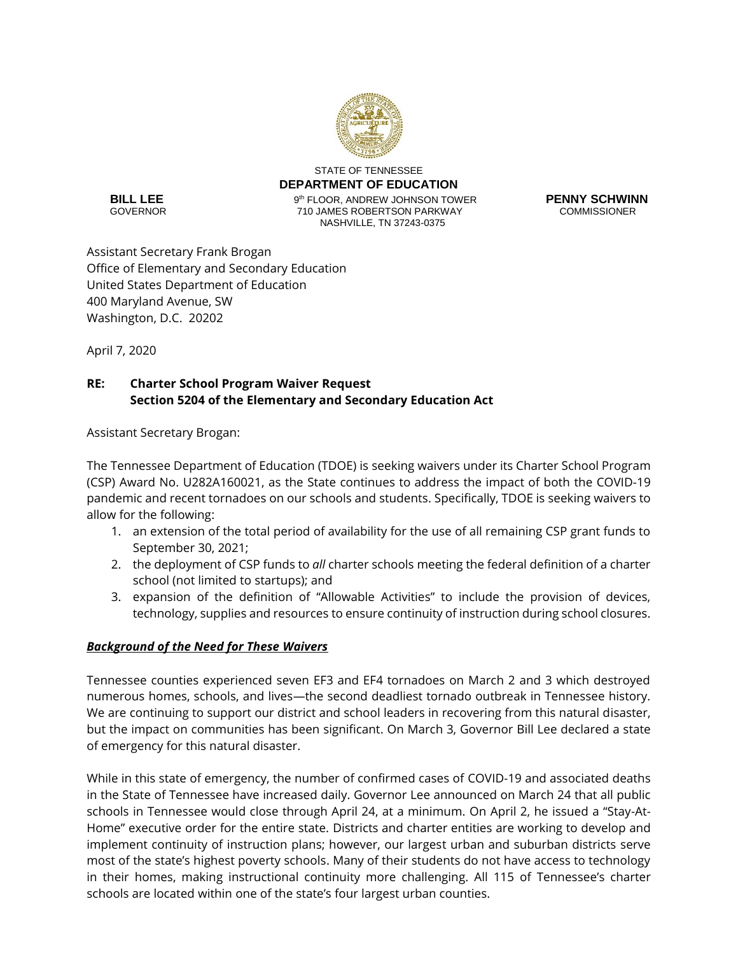

STATE OF TENNESSEE **DEPARTMENT OF EDUCATION 9<sup>th</sup> FLOOR, ANDREW JOHNSON TOWER PENNY SCHWINN**<br> **PENNY SCHWINN**<br> **PENNY SCOMMISSIONER** 710 JAMES ROBERTSON PARKWAY NASHVILLE, TN 37243-0375

**BILL LEE**<br>GOVERNOR

Assistant Secretary Frank Brogan Office of Elementary and Secondary Education United States Department of Education 400 Maryland Avenue, SW Washington, D.C. 20202

April 7, 2020

# **RE: Charter School Program Waiver Request Section 5204 of the Elementary and Secondary Education Act**

Assistant Secretary Brogan:

The Tennessee Department of Education (TDOE) is seeking waivers under its Charter School Program (CSP) Award No. U282A160021, as the State continues to address the impact of both the COVID-19 pandemic and recent tornadoes on our schools and students. Specifically, TDOE is seeking waivers to allow for the following:

- 1. an extension of the total period of availability for the use of all remaining CSP grant funds to September 30, 2021;
- 2. the deployment of CSP funds to *all* charter schools meeting the federal definition of a charter school (not limited to startups); and
- 3. expansion of the definition of "Allowable Activities" to include the provision of devices, technology, supplies and resources to ensure continuity of instruction during school closures.

## *Background of the Need for These Waivers*

Tennessee counties experienced seven EF3 and EF4 tornadoes on March 2 and 3 which destroyed numerous homes, schools, and lives—the second deadliest tornado outbreak in Tennessee history. We are continuing to support our district and school leaders in recovering from this natural disaster, but the impact on communities has been significant. On March 3, Governor Bill Lee declared a state of emergency for this natural disaster.

While in this state of emergency, the number of confirmed cases of COVID-19 and associated deaths in the State of Tennessee have increased daily. Governor Lee announced on March 24 that all public schools in Tennessee would close through April 24, at a minimum. On April 2, he issued a "Stay-At-Home" executive order for the entire state. Districts and charter entities are working to develop and implement continuity of instruction plans; however, our largest urban and suburban districts serve most of the state's highest poverty schools. Many of their students do not have access to technology in their homes, making instructional continuity more challenging. All 115 of Tennessee's charter schools are located within one of the state's four largest urban counties.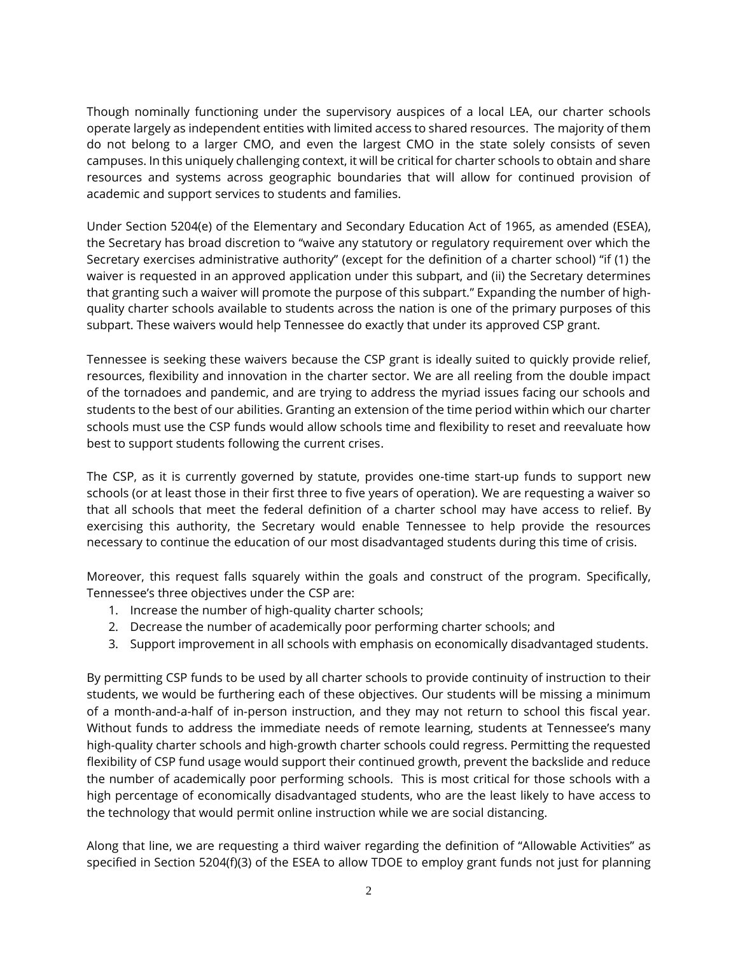Though nominally functioning under the supervisory auspices of a local LEA, our charter schools operate largely as independent entities with limited access to shared resources. The majority of them do not belong to a larger CMO, and even the largest CMO in the state solely consists of seven campuses. In this uniquely challenging context, it will be critical for charter schools to obtain and share resources and systems across geographic boundaries that will allow for continued provision of academic and support services to students and families.

Under Section 5204(e) of the Elementary and Secondary Education Act of 1965, as amended (ESEA), the Secretary has broad discretion to "waive any statutory or regulatory requirement over which the Secretary exercises administrative authority" (except for the definition of a charter school) "if (1) the waiver is requested in an approved application under this subpart, and (ii) the Secretary determines that granting such a waiver will promote the purpose of this subpart." Expanding the number of highquality charter schools available to students across the nation is one of the primary purposes of this subpart. These waivers would help Tennessee do exactly that under its approved CSP grant.

Tennessee is seeking these waivers because the CSP grant is ideally suited to quickly provide relief, resources, flexibility and innovation in the charter sector. We are all reeling from the double impact of the tornadoes and pandemic, and are trying to address the myriad issues facing our schools and students to the best of our abilities. Granting an extension of the time period within which our charter schools must use the CSP funds would allow schools time and flexibility to reset and reevaluate how best to support students following the current crises.

The CSP, as it is currently governed by statute, provides one-time start-up funds to support new schools (or at least those in their first three to five years of operation). We are requesting a waiver so that all schools that meet the federal definition of a charter school may have access to relief. By exercising this authority, the Secretary would enable Tennessee to help provide the resources necessary to continue the education of our most disadvantaged students during this time of crisis.

Moreover, this request falls squarely within the goals and construct of the program. Specifically, Tennessee's three objectives under the CSP are:

- 1. Increase the number of high-quality charter schools;
- 2. Decrease the number of academically poor performing charter schools; and
- 3. Support improvement in all schools with emphasis on economically disadvantaged students.

By permitting CSP funds to be used by all charter schools to provide continuity of instruction to their students, we would be furthering each of these objectives. Our students will be missing a minimum of a month-and-a-half of in-person instruction, and they may not return to school this fiscal year. Without funds to address the immediate needs of remote learning, students at Tennessee's many high-quality charter schools and high-growth charter schools could regress. Permitting the requested flexibility of CSP fund usage would support their continued growth, prevent the backslide and reduce the number of academically poor performing schools. This is most critical for those schools with a high percentage of economically disadvantaged students, who are the least likely to have access to the technology that would permit online instruction while we are social distancing.

Along that line, we are requesting a third waiver regarding the definition of "Allowable Activities" as specified in Section 5204(f)(3) of the ESEA to allow TDOE to employ grant funds not just for planning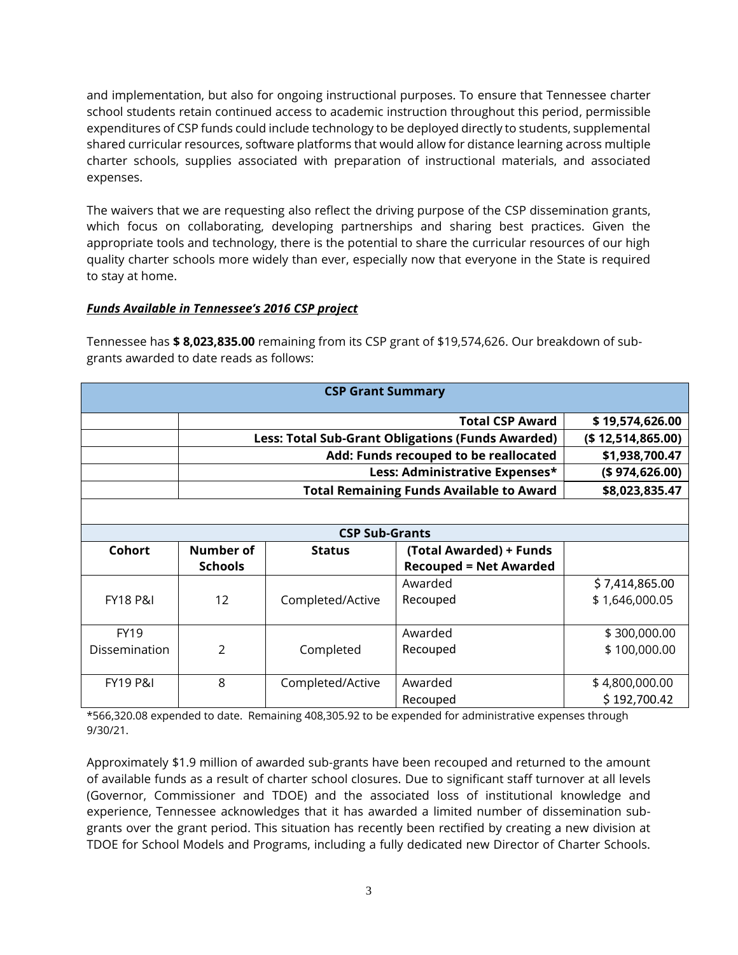and implementation, but also for ongoing instructional purposes. To ensure that Tennessee charter school students retain continued access to academic instruction throughout this period, permissible expenditures of CSP funds could include technology to be deployed directly to students, supplemental shared curricular resources, software platforms that would allow for distance learning across multiple charter schools, supplies associated with preparation of instructional materials, and associated expenses.

The waivers that we are requesting also reflect the driving purpose of the CSP dissemination grants, which focus on collaborating, developing partnerships and sharing best practices. Given the appropriate tools and technology, there is the potential to share the curricular resources of our high quality charter schools more widely than ever, especially now that everyone in the State is required to stay at home.

### *Funds Available in Tennessee's 2016 CSP project*

Tennessee has **\$ 8,023,835.00** remaining from its CSP grant of \$19,574,626. Our breakdown of subgrants awarded to date reads as follows:

| <b>CSP Grant Summary</b> |                                                          |                  |                               |                    |
|--------------------------|----------------------------------------------------------|------------------|-------------------------------|--------------------|
|                          | <b>Total CSP Award</b>                                   |                  |                               | \$19,574,626.00    |
|                          | <b>Less: Total Sub-Grant Obligations (Funds Awarded)</b> |                  |                               | (\$ 12,514,865.00) |
|                          | Add: Funds recouped to be reallocated                    |                  |                               | \$1,938,700.47     |
|                          | Less: Administrative Expenses*                           |                  |                               | (\$974, 626.00)    |
|                          | <b>Total Remaining Funds Available to Award</b>          |                  |                               | \$8,023,835.47     |
|                          |                                                          |                  |                               |                    |
| <b>CSP Sub-Grants</b>    |                                                          |                  |                               |                    |
| Cohort                   | Number of                                                | <b>Status</b>    | (Total Awarded) + Funds       |                    |
|                          | <b>Schools</b>                                           |                  | <b>Recouped = Net Awarded</b> |                    |
|                          |                                                          |                  | Awarded                       | \$7,414,865.00     |
| <b>FY18 P&amp;I</b>      | 12                                                       | Completed/Active | Recouped                      | \$1,646,000.05     |
|                          |                                                          |                  |                               |                    |
| <b>FY19</b>              |                                                          |                  | Awarded                       | \$300,000.00       |
| Dissemination            | $\mathfrak{p}$                                           | Completed        | Recouped                      | \$100,000.00       |
|                          |                                                          |                  |                               |                    |
| <b>FY19 P&amp;I</b>      | 8                                                        | Completed/Active | Awarded                       | \$4,800,000.00     |
|                          |                                                          |                  | Recouped                      | \$192,700.42       |

\*566,320.08 expended to date. Remaining 408,305.92 to be expended for administrative expenses through 9/30/21.

Approximately \$1.9 million of awarded sub-grants have been recouped and returned to the amount of available funds as a result of charter school closures. Due to significant staff turnover at all levels (Governor, Commissioner and TDOE) and the associated loss of institutional knowledge and experience, Tennessee acknowledges that it has awarded a limited number of dissemination subgrants over the grant period. This situation has recently been rectified by creating a new division at TDOE for School Models and Programs, including a fully dedicated new Director of Charter Schools.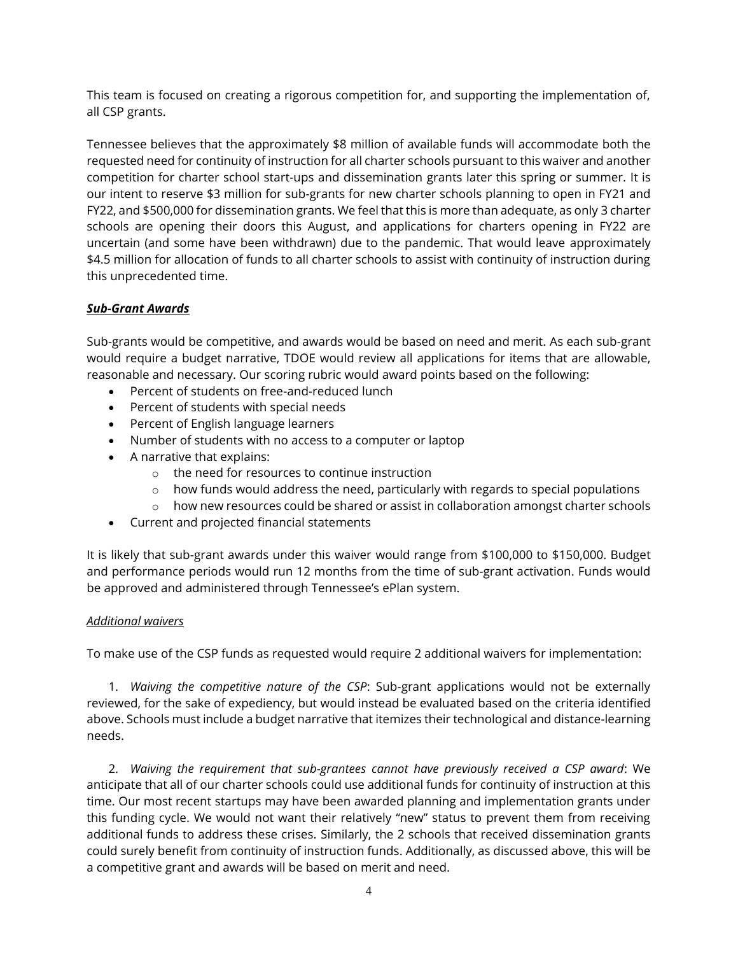This team is focused on creating a rigorous competition for, and supporting the implementation of, all CSP grants.

Tennessee believes that the approximately \$8 million of available funds will accommodate both the requested need for continuity of instruction for all charter schools pursuant to this waiver and another competition for charter school start-ups and dissemination grants later this spring or summer. It is our intent to reserve \$3 million for sub-grants for new charter schools planning to open in FY21 and FY22, and \$500,000 for dissemination grants. We feel that this is more than adequate, as only 3 charter schools are opening their doors this August, and applications for charters opening in FY22 are uncertain (and some have been withdrawn) due to the pandemic. That would leave approximately \$4.5 million for allocation of funds to all charter schools to assist with continuity of instruction during this unprecedented time.

## *Sub-Grant Awards*

Sub-grants would be competitive, and awards would be based on need and merit. As each sub-grant would require a budget narrative, TDOE would review all applications for items that are allowable, reasonable and necessary. Our scoring rubric would award points based on the following:

- Percent of students on free-and-reduced lunch
- Percent of students with special needs
- Percent of English language learners
- Number of students with no access to a computer or laptop
- A narrative that explains:
	- o the need for resources to continue instruction
	- $\circ$  how funds would address the need, particularly with regards to special populations
	- $\circ$  how new resources could be shared or assist in collaboration amongst charter schools
- Current and projected financial statements

It is likely that sub-grant awards under this waiver would range from \$100,000 to \$150,000. Budget and performance periods would run 12 months from the time of sub-grant activation. Funds would be approved and administered through Tennessee's ePlan system.

#### *Additional waivers*

To make use of the CSP funds as requested would require 2 additional waivers for implementation:

1. *Waiving the competitive nature of the CSP*: Sub-grant applications would not be externally reviewed, for the sake of expediency, but would instead be evaluated based on the criteria identified above. Schools must include a budget narrative that itemizes their technological and distance-learning needs.

2. *Waiving the requirement that sub-grantees cannot have previously received a CSP award*: We anticipate that all of our charter schools could use additional funds for continuity of instruction at this time. Our most recent startups may have been awarded planning and implementation grants under this funding cycle. We would not want their relatively "new" status to prevent them from receiving additional funds to address these crises. Similarly, the 2 schools that received dissemination grants could surely benefit from continuity of instruction funds. Additionally, as discussed above, this will be a competitive grant and awards will be based on merit and need.